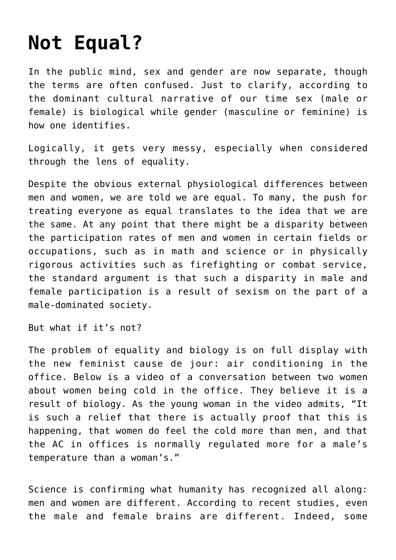## **[Not Equal?](https://intellectualtakeout.org/2015/08/not-equal/)**

In the public mind, sex and gender are now separate, though the terms are often confused. Just to clarify, according to the dominant cultural narrative of our time sex (male or female) is biological while gender (masculine or feminine) is how one identifies.

Logically, it gets very messy, especially when considered through the lens of equality.

Despite the obvious external physiological differences between men and women, we are told we are equal. To many, the push for treating everyone as equal translates to the idea that we are the same. At any point that there might be a disparity between the participation rates of men and women in certain fields or occupations, such as in math and science or in physically rigorous activities such as firefighting or combat service, the standard argument is that such a disparity in male and female participation is a result of sexism on the part of a male-dominated society.

But what if it's not?

The problem of equality and biology is on full display with the new feminist cause de jour: air conditioning in the office. Below is a video of a conversation between two women about women being cold in the office. They believe it is a result of biology. As the young woman in the video admits, "It is such a relief that there is actually proof that this is happening, that women do feel the cold more than men, and that the AC in offices is normally regulated more for a male's temperature than a woman's."

Science is confirming what humanity has recognized all along: men and women are different. According to recent studies, even the male and female brains are different. Indeed, some